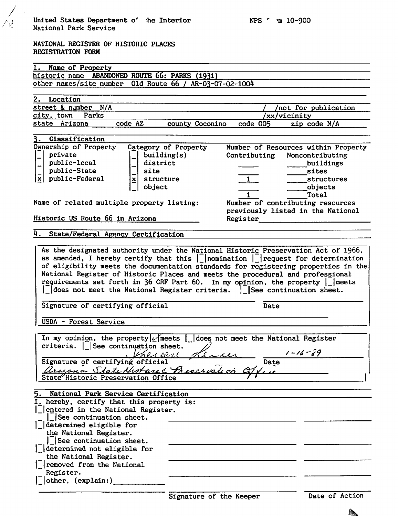|                   |  | NATIONAL REGISTER OF HISTORIC PLACES |  |
|-------------------|--|--------------------------------------|--|
| REGISTRATION FORM |  |                                      |  |

 $\bigwedge^{\bullet}$ 

| Name of Property<br>1.                                                                                                    |                                     |  |  |  |
|---------------------------------------------------------------------------------------------------------------------------|-------------------------------------|--|--|--|
|                                                                                                                           |                                     |  |  |  |
| historic name ABANDONED ROUTE 66: PARKS (1931)                                                                            |                                     |  |  |  |
| other names/site number 01d Route 66 / AR-03-07-02-1004                                                                   |                                     |  |  |  |
| 2. Location                                                                                                               |                                     |  |  |  |
| street & number N/A                                                                                                       |                                     |  |  |  |
| city, town Parks                                                                                                          | not for publication<br>/xx/vicinity |  |  |  |
| state Arizona<br>code AZ<br>county Coconino                                                                               | code 005<br>zip code N/A            |  |  |  |
|                                                                                                                           |                                     |  |  |  |
| Classification<br>3.                                                                                                      |                                     |  |  |  |
| Ownership of Property<br>Category of Property                                                                             | Number of Resources within Property |  |  |  |
| private<br>building(s)                                                                                                    | Contributing<br>Noncontributing     |  |  |  |
| public-local<br>district                                                                                                  | buildings                           |  |  |  |
| public-State<br>site                                                                                                      | sites                               |  |  |  |
| public-Federal<br>$\overline{\mathbf{x}}$<br>structure<br>$\mathbf{X}$                                                    | $\mathbf{1}$<br>structures          |  |  |  |
| object                                                                                                                    | objects                             |  |  |  |
|                                                                                                                           | Total                               |  |  |  |
| Name of related multiple property listing:                                                                                | Number of contributing resources    |  |  |  |
|                                                                                                                           | previously listed in the National   |  |  |  |
| Historic US Route 66 in Arizona                                                                                           | Register                            |  |  |  |
|                                                                                                                           |                                     |  |  |  |
| 4.<br>State/Federal Agency Certification                                                                                  |                                     |  |  |  |
|                                                                                                                           |                                     |  |  |  |
| As the designated authority under the National Historic Preservation Act of 1966,                                         |                                     |  |  |  |
| as amended, I hereby certify that this $\int$ nomination $\int$ request for determination                                 |                                     |  |  |  |
| of eligibility meets the documentation standards for registering properties in the                                        |                                     |  |  |  |
|                                                                                                                           |                                     |  |  |  |
| National Register of Historic Places and meets the procedural and professional                                            |                                     |  |  |  |
| requirements set forth in 36 CRF Part 60. In my opinion, the property     meets                                           |                                     |  |  |  |
| $\lfloor$ does not meet the National Register criteria. $\lfloor$ See continuation sheet.                                 |                                     |  |  |  |
|                                                                                                                           |                                     |  |  |  |
| Signature of certifying official                                                                                          | Date                                |  |  |  |
|                                                                                                                           |                                     |  |  |  |
| USDA - Forest Service                                                                                                     |                                     |  |  |  |
|                                                                                                                           |                                     |  |  |  |
| In my opinion, the property $\angle$ meets   does not meet the National Register                                          |                                     |  |  |  |
| criteria.   See continuation sheet.                                                                                       | $1 - 16 - 89$                       |  |  |  |
|                                                                                                                           |                                     |  |  |  |
|                                                                                                                           | Date                                |  |  |  |
|                                                                                                                           |                                     |  |  |  |
|                                                                                                                           |                                     |  |  |  |
| Sugnature of certifying official Almer<br>Crysna State Motors: Preservation CTY<br>5. National Park Service Certification |                                     |  |  |  |
| $I_t$ hereby, certify that this property is:                                                                              |                                     |  |  |  |
| entered in the National Register.                                                                                         |                                     |  |  |  |
| See continuation sheet.                                                                                                   |                                     |  |  |  |
| $\lfloor$ determined eligible for                                                                                         |                                     |  |  |  |
| the National Register.                                                                                                    |                                     |  |  |  |
| See continuation sheet.                                                                                                   |                                     |  |  |  |
| determined not eligible for                                                                                               |                                     |  |  |  |
| the National Register.                                                                                                    |                                     |  |  |  |
| removed from the National                                                                                                 |                                     |  |  |  |
| Register.<br>  other, (explain:)                                                                                          |                                     |  |  |  |

▲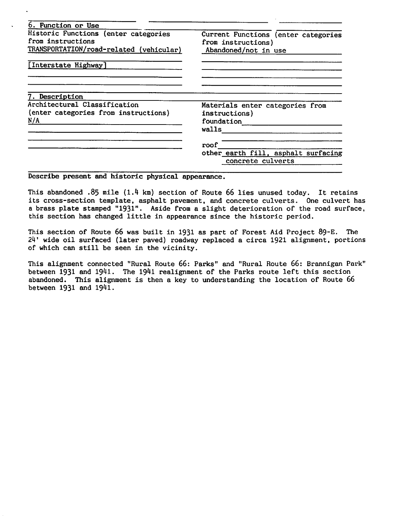| 6. Function or Use                                                                                   |                                                                                   |  |
|------------------------------------------------------------------------------------------------------|-----------------------------------------------------------------------------------|--|
| Historic Functions (enter categories<br>from instructions<br>TRANSPORTATION/road-related (vehicular) | Current Functions (enter categories<br>from instructions)<br>Abandoned/not in use |  |
| [Interstate Highway]                                                                                 |                                                                                   |  |
| 7. Description                                                                                       |                                                                                   |  |
| Architectural Classification<br>(enter categories from instructions)                                 | Materials enter categories from<br>instructions)                                  |  |
| N/A                                                                                                  | foundation                                                                        |  |
|                                                                                                      | walls                                                                             |  |
|                                                                                                      | roof                                                                              |  |
|                                                                                                      | other earth fill, asphalt surfacing<br>concrete culverts                          |  |

## Describe present and historic physical appearance.

This abandoned .85 mile (1.4 km) section of Route 66 lies unused today. It retains its cross-section template, asphalt pavement, and concrete culverts. One culvert has a brass plate stamped "1931". Aside from a slight deterioration of the road surface, this section has changed little in appearance since the historic period.

This section of Route 66 was built in 1931 as part of Forest Aid Project 89-E. The 24' wide oil surfaced (later paved) roadway replaced a circa 1921 alignment, portions of which can still be seen in the vicinity.

This alignment connected "Rural Route 66: Parks" and "Rural Route 66: Brannigan Park" between 1931 and 1941. The 1941 realignment of the Parks route left this section abandoned. This alignment is then a key to understanding the location of Route 66 between 1931 and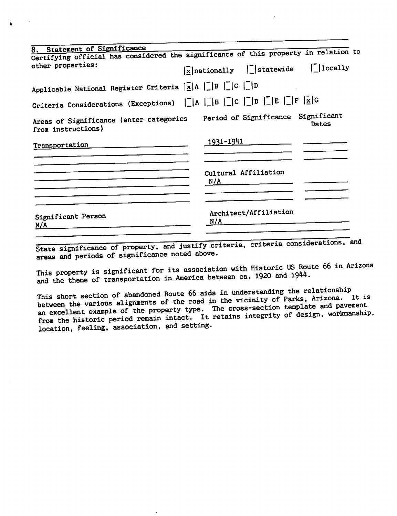| 8. Statement of Significance                                                                                                              |                                                                                            |
|-------------------------------------------------------------------------------------------------------------------------------------------|--------------------------------------------------------------------------------------------|
|                                                                                                                                           | Certifying official has considered the significance of this property in relation to        |
| other properties:                                                                                                                         | $ \bar{x} $ nationally     statewide     locally                                           |
| Applicable National Register Criteria $\ \bar{\mathbf{x}}\ $ A $\ \bar{\mathbf{x}}\ $ B $\ \bar{\mathbf{x}}\ $ C $\ \bar{\mathbf{x}}\ $ D |                                                                                            |
| Criteria Considerations (Exceptions) $\ \cdot\ $ A $\ \cdot\ $ B $\ \cdot\ $ O $\ \cdot\ $ B $\ \cdot\ $ F $\ \cdot\ $ G                  |                                                                                            |
| from instructions)                                                                                                                        | Areas of Significance (enter categories Period of Significance Significant<br><b>Dates</b> |
| Transportation                                                                                                                            | <u> 1931-1941</u>                                                                          |
|                                                                                                                                           |                                                                                            |
|                                                                                                                                           | Cultural Affiliation<br>N/A                                                                |
|                                                                                                                                           |                                                                                            |
| Significant Person<br>N/A                                                                                                                 | Architect/Affiliation<br>N/A                                                               |
|                                                                                                                                           |                                                                                            |

State significance of property, and justify criteria, criteria considerations, and areas and periods of significance noted above.

This property is significant for its association with Historic US Route 66 in Arizona and the theme of transportation in America between ca. 1920 and 1944.

This short section of abandoned Route 66 aids in understanding the relationship<br>between the various alignments of the road in the vicinity of Parks, Arizona. It is an excellent example of the property type. The cross-section template and pavement<br>from the historic period remain intact. It retains integrity of design, workmanship,<br>location, feeling, association, and setting.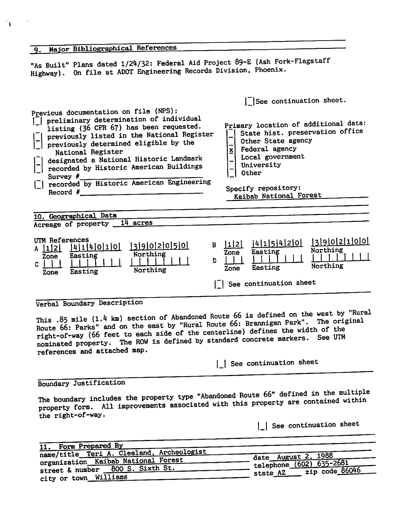| 9. Major Bibliographical References                                                                                                                                                                                                                                                                                                                                                                        |                                                                                                                                                                                                                                                                   |
|------------------------------------------------------------------------------------------------------------------------------------------------------------------------------------------------------------------------------------------------------------------------------------------------------------------------------------------------------------------------------------------------------------|-------------------------------------------------------------------------------------------------------------------------------------------------------------------------------------------------------------------------------------------------------------------|
| "As Built" Plans dated 1/24/32: Federal Aid Project 89-E (Ash Fork-Flagstaff<br>Highway). On file at ADOT Engineering Records Division, Phoenix.                                                                                                                                                                                                                                                           |                                                                                                                                                                                                                                                                   |
| Previous documentation on file (NPS):<br>    preliminary determination of individual<br>listing (36 CFR 67) has been requested.<br>previously listed in the National Register<br>previously determined eligible by the<br>National Register<br>designated a National Historic Landmark<br>recorded by Historic American Buildings<br>Survey #<br>  recorded by Historic American Engineering<br>Record $#$ | See continuation sheet.<br>Primary location of additional data:<br>State hist. preservation office<br>Other State agency<br>$\overline{\mathbf{x}}$<br>Federal agency<br>Local government<br>University<br>Other<br>Specify repository:<br>Kaibab National Forest |
| 10. Geographical Data<br>Acreage of property 14 acres                                                                                                                                                                                                                                                                                                                                                      |                                                                                                                                                                                                                                                                   |
| UTM References<br>13902050<br>A  1 2   4 1 4 0 1 0 <br>Northing<br>Easting<br>Zone<br>D.<br>$\mathbf{c}$  <br>Northing<br>Easting<br>Zone                                                                                                                                                                                                                                                                  | 14151420 13902100<br>$B$  1 2 <br>Northing<br>Easting<br>Zone<br>Northing<br>Easting<br>Zone<br>See continuation sheet                                                                                                                                            |
| Verbal Boundary Description                                                                                                                                                                                                                                                                                                                                                                                |                                                                                                                                                                                                                                                                   |

This .85 mile  $(1.4 \text{ km})$  section of Abandoned Route 66 is defined on the west by "Rural" This .85 mile  $(1.4 \text{ km})$  section of Abandoned Route bb is defined on the west by "Rural<br>Route 66: Parks" and on the east by "Rural Route 66: Brannigan Park". The original<br>right-of-way (66 feet to each side of the centerl right-of-way (66 feet to each side of the centerline) defines the markers. See UTM nominated property. The ROW is defined by standard concrete markers. See UTM references and attached map.

| See continuation sheet

Boundary Justification

 $\mathbf{L}$ 

The boundary includes the property type "Abandoned Route 66" defined in the multiple property form. All improvements associated with this property are contained within the right-of-way.

| See continuation sheet

| 11. Form Prepared By                      |                                                 |
|-------------------------------------------|-------------------------------------------------|
| name/title Teri A. Cleeland, Archeologist | date August 2, 1988                             |
| organization Kaibab National Forest       | $-$ telephone (602) 635-2681                    |
| street & number 800 S. Sixth St.          | $\frac{1}{2ip \text{ code } 86046}$<br>state AZ |
| city or town Williams                     |                                                 |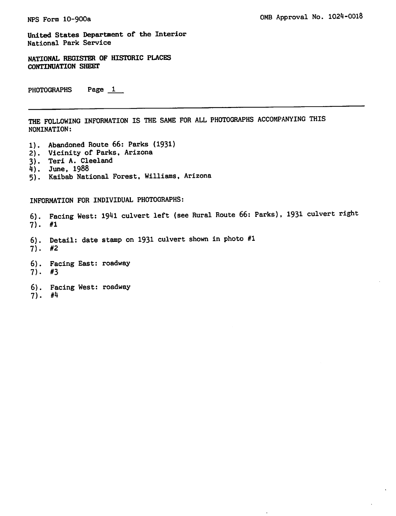United States Department of the Interior National Park Service

NATIONAL REGISTER OF HISTORIC PLACES CONTINUATION SHEET

PHOTOGRAPHS Page 1

THE FOLLOWING INFORMATION IS THE SAME FOR ALL PHOTOGRAPHS ACCOMPANYING THIS NOMINATION:

- 1). Abandoned Route 66: Parks (1931)
- 2). Vicinity of Parks, Arizona
- 3). Teri A. Cleeland
- 4). June, 1988
- 5). Kaibab National Forest, Williams, Arizona

INFORMATION FOR INDIVIDUAL PHOTOGRAPHS:

6). Facing West: 1941 culvert left (see Rural Route 66: Parks), 1931 culvert right 7).

- 6). Detail: date stamp on 1931 culvert shown in photo #1
- 7). #2
- 6). Facing East: roadway 7). #3
- 6). Facing West: roadway 7).